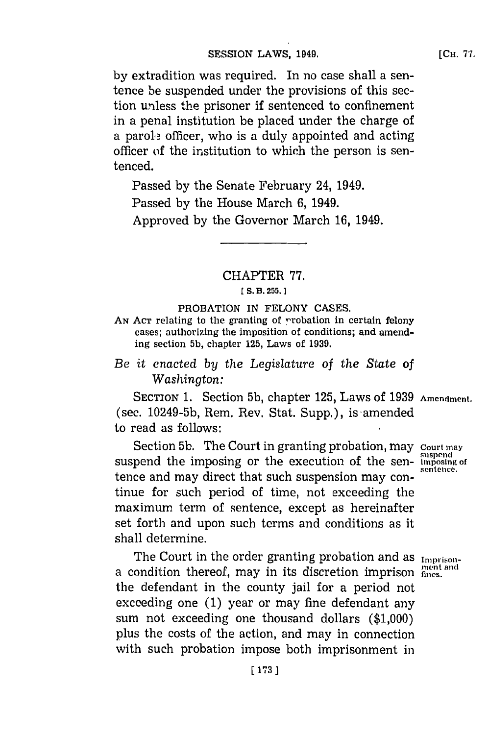**by** extradition was required. In no case shall a sentence be suspended under the provisions of this section unless the prisoner if sentenced to confinement in a penal institution be placed under the charge of a parole officer, who is a duly appointed and acting officer of the institution to which the person is sentenced.

Passed **by** the Senate February 24, 1949. Passed **by** the House March **6,** 1949. Approved **by** the Governor March **16,** 1949.

CHAPTER **77.**

#### **CS. B 255.]1**

### PROBATION **IN FELONY CASES.**

AN ACT relating to the granting of <u>rrobation</u> in certain felony cases; authorizing the imposition of conditions; and amending section **5b,** chapter **125,** Laws of **1939.**

# *Be* it *enacted by the Legislature* of the *State of Washington:*

**SECTION 1.** Section **5b,** chapter **125,** Laws of **1939 Amendment.** (see. **10249-5b,** Rem. Rev. Stat. Supp.), is amended to read as follows:

Section **5b.** The Court in granting probation, may **court may** suspend the imposing or the execution of the sen- **imposing** of tence and may direct that such suspension may continue for such period of time, not exceeding the maximum term of sentence, except as hereinafter set forth and upon such terms and conditions as it shall determine.

The Court in the order granting probation and as Imprisona condition thereof, may in its discretion imprison **flues.** the defendant in the county jail for a period not exceeding one **(1)** year or may fine defendant any sum not exceeding one thousand dollars **(\$1,000)** plus the costs of the action, and may in connection with such probation impose both imprisonment in